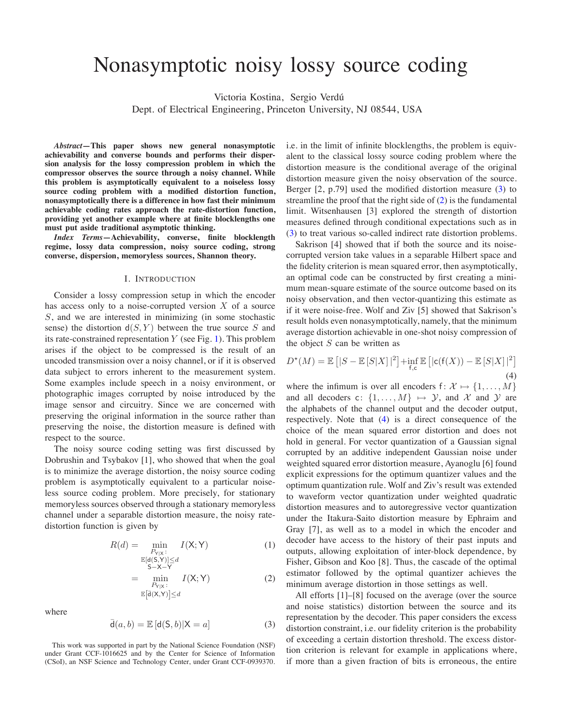# Nonasymptotic noisy lossy source coding

Victoria Kostina, Sergio Verdú

Dept. of Electrical Engineering, Princeton University, NJ 08544, USA

*Abstract***—This paper shows new general nonasymptotic achievability and converse bounds and performs their dispersion analysis for the lossy compression problem in which the compressor observes the source through a noisy channel. While this problem is asymptotically equivalent to a noiseless lossy source coding problem with a modified distortion function, nonasymptotically there is a difference in how fast their minimum achievable coding rates approach the rate-distortion function, providing yet another example where at finite blocklengths one must put aside traditional asymptotic thinking.**

*Index Terms***—Achievability, converse, finite blocklength regime, lossy data compression, noisy source coding, strong converse, dispersion, memoryless sources, Shannon theory.**

## I. INTRODUCTION

Consider a lossy compression setup in which the encoder has access only to a noise-corrupted version  $X$  of a source S, and we are interested in minimizing (in some stochastic sense) the distortion  $d(S, Y)$  between the true source S and its rate-constrained representation  $Y$  (see Fig. [1\)](#page-1-0). This problem arises if the object to be compressed is the result of an uncoded transmission over a noisy channel, or if it is observed data subject to errors inherent to the measurement system. Some examples include speech in a noisy environment, or photographic images corrupted by noise introduced by the image sensor and circuitry. Since we are concerned with preserving the original information in the source rather than preserving the noise, the distortion measure is defined with respect to the source.

The noisy source coding setting was first discussed by Dobrushin and Tsybakov [1], who showed that when the goal is to minimize the average distortion, the noisy source coding problem is asymptotically equivalent to a particular noiseless source coding problem. More precisely, for stationary memoryless sources observed through a stationary memoryless channel under a separable distortion measure, the noisy ratedistortion function is given by

$$
R(d) = \min_{\substack{P_{Y|X}: \ E[d(S,Y)] \le d \\ S-X-Y}} I(X;Y)
$$
(1)  

$$
= \min_{\substack{P_{Y|X}: \ P_{Y|X}: \ E[d(X,Y)] \le d}} I(X;Y)
$$
(2)

where

<span id="page-0-0"></span>
$$
\bar{\mathsf{d}}(a,b) = \mathbb{E}\left[\mathsf{d}(\mathsf{S},b)|\mathsf{X}=a\right] \tag{3}
$$

This work was supported in part by the National Science Foundation (NSF) under Grant CCF-1016625 and by the Center for Science of Information (CSoI), an NSF Science and Technology Center, under Grant CCF-0939370. i.e. in the limit of infinite blocklengths, the problem is equivalent to the classical lossy source coding problem where the distortion measure is the conditional average of the original distortion measure given the noisy observation of the source. Berger [2, p.79] used the modified distortion measure [\(3\)](#page-0-0) to streamline the proof that the right side of  $(2)$  is the fundamental limit. Witsenhausen [3] explored the strength of distortion measures defined through conditional expectations such as in [\(3\)](#page-0-0) to treat various so-called indirect rate distortion problems.

Sakrison [4] showed that if both the source and its noisecorrupted version take values in a separable Hilbert space and the fidelity criterion is mean squared error, then asymptotically, an optimal code can be constructed by first creating a minimum mean-square estimate of the source outcome based on its noisy observation, and then vector-quantizing this estimate as if it were noise-free. Wolf and Ziv [5] showed that Sakrison's result holds even nonasymptotically, namely, that the minimum average distortion achievable in one-shot noisy compression of the object  $S$  can be written as

<span id="page-0-2"></span>
$$
D^{*}(M) = \mathbb{E}\left[|S - \mathbb{E}\left[S|X\right]|^{2}\right] + \inf_{\mathsf{f,c}} \mathbb{E}\left[|\mathsf{c}(\mathsf{f}(X)) - \mathbb{E}\left[S|X\right]|^{2}\right] \tag{4}
$$

where the infimum is over all encoders  $f: \mathcal{X} \mapsto \{1, \ldots, M\}$ and all decoders c:  $\{1,\ldots,M\} \mapsto \mathcal{Y}$ , and X and Y are the alphabets of the channel output and the decoder output, respectively. Note that [\(4\)](#page-0-2) is a direct consequence of the choice of the mean squared error distortion and does not hold in general. For vector quantization of a Gaussian signal corrupted by an additive independent Gaussian noise under weighted squared error distortion measure, Ayanoglu [6] found explicit expressions for the optimum quantizer values and the optimum quantization rule. Wolf and Ziv's result was extended to waveform vector quantization under weighted quadratic distortion measures and to autoregressive vector quantization under the Itakura-Saito distortion measure by Ephraim and Gray [7], as well as to a model in which the encoder and decoder have access to the history of their past inputs and outputs, allowing exploitation of inter-block dependence, by Fisher, Gibson and Koo [8]. Thus, the cascade of the optimal estimator followed by the optimal quantizer achieves the minimum average distortion in those settings as well.

<span id="page-0-1"></span>All efforts [1]–[8] focused on the average (over the source and noise statistics) distortion between the source and its representation by the decoder. This paper considers the excess distortion constraint, i.e. our fidelity criterion is the probability of exceeding a certain distortion threshold. The excess distortion criterion is relevant for example in applications where, if more than a given fraction of bits is erroneous, the entire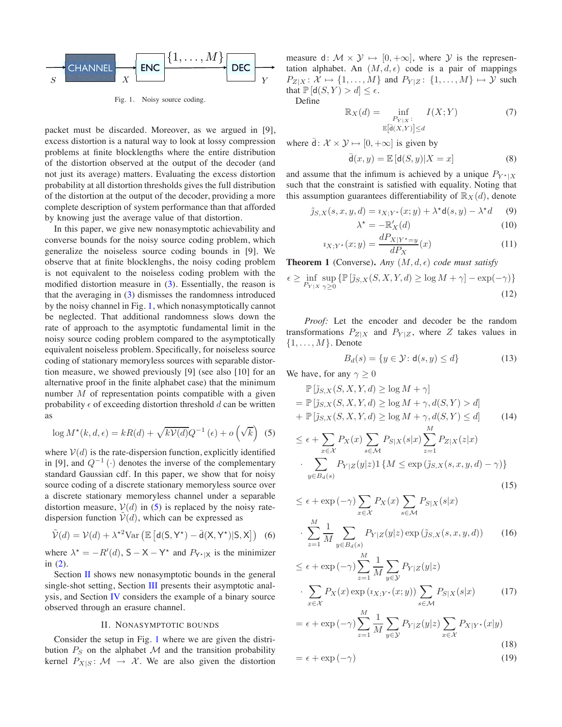

<span id="page-1-0"></span>Fig. 1. Noisy source coding.

packet must be discarded. Moreover, as we argued in [9], excess distortion is a natural way to look at lossy compression problems at finite blocklengths where the entire distribution of the distortion observed at the output of the decoder (and not just its average) matters. Evaluating the excess distortion probability at all distortion thresholds gives the full distribution of the distortion at the output of the decoder, providing a more complete description of system performance than that afforded by knowing just the average value of that distortion.

In this paper, we give new nonasymptotic achievability and converse bounds for the noisy source coding problem, which generalize the noiseless source coding bounds in [9]. We observe that at finite blocklenghs, the noisy coding problem is not equivalent to the noiseless coding problem with the modified distortion measure in [\(3\)](#page-0-0). Essentially, the reason is that the averaging in [\(3\)](#page-0-0) dismisses the randomness introduced by the noisy channel in Fig. [1,](#page-1-0) which nonasymptotically cannot be neglected. That additional randomness slows down the rate of approach to the asymptotic fundamental limit in the noisy source coding problem compared to the asymptotically equivalent noiseless problem. Specifically, for noiseless source coding of stationary memoryless sources with separable distortion measure, we showed previously [9] (see also [10] for an alternative proof in the finite alphabet case) that the minimum number  $M$  of representation points compatible with a given probability  $\epsilon$  of exceeding distortion threshold d can be written as

<span id="page-1-1"></span>
$$
\log M^{\star}(k, d, \epsilon) = kR(d) + \sqrt{kV(d)}Q^{-1}(\epsilon) + o\left(\sqrt{k}\right)
$$
 (5)

where  $V(d)$  is the rate-dispersion function, explicitly identified in [9], and  $Q^{-1}(\cdot)$  denotes the inverse of the complementary standard Gaussian cdf. In this paper, we show that for noisy source coding of a discrete stationary memoryless source over a discrete stationary memoryless channel under a separable distortion measure,  $V(d)$  in [\(5\)](#page-1-1) is replaced by the noisy ratedispersion function  $V(d)$ , which can be expressed as

<span id="page-1-8"></span>
$$
\tilde{\mathcal{V}}(d) = \mathcal{V}(d) + \lambda^{*2} \text{Var}\left(\mathbb{E}\left[d(S, Y^*) - \bar{d}(X, Y^*)|S, X\right]\right) \tag{6}
$$

where  $\lambda^* = -R'(d)$ ,  $S - X - Y^*$  and  $P_{Y^*|X}$  is the minimizer in [\(2\)](#page-0-1).

Section [II](#page-1-2) shows new nonasymptotic bounds in the general single-shot setting, Section [III](#page-3-0) presents their asymptotic analysis, and Section [IV](#page-3-1) considers the example of a binary source observed through an erasure channel.

## II. NONASYMPTOTIC BOUNDS

<span id="page-1-2"></span>Consider the setup in Fig. [1](#page-1-0) where we are given the distribution  $P_S$  on the alphabet M and the transition probability kernel  $P_{X|S}$ :  $\mathcal{M} \rightarrow \mathcal{X}$ . We are also given the distortion measure d:  $\mathcal{M} \times \mathcal{Y} \mapsto [0, +\infty]$ , where  $\mathcal{Y}$  is the representation alphabet. An  $(M, d, \epsilon)$  code is a pair of mappings  $P_{Z|X} \colon \mathcal{X} \mapsto \{1,\ldots,M\}$  and  $P_{Y|Z} \colon \{1,\ldots,M\} \mapsto \mathcal{Y}$  such that  $\mathbb{P}[\mathsf{d}(S, Y) > d] \leq \epsilon$ .

Define

$$
\mathbb{R}_X(d) = \inf_{\substack{P_{Y|X}:\\ \mathbb{E}\left[\overline{d}(X,Y)\right] \le d}} I(X;Y) \tag{7}
$$

where  $\bar{d}$ :  $\mathcal{X} \times \mathcal{Y} \mapsto [0, +\infty]$  is given by

$$
\bar{\mathsf{d}}(x,y) = \mathbb{E}\left[\mathsf{d}(S,y)|X=x\right] \tag{8}
$$

and assume that the infimum is achieved by a unique  $P_{Y^*|X}$ such that the constraint is satisfied with equality. Noting that this assumption guarantees differentiability of  $\mathbb{R}_X(d)$ , denote

$$
\tilde{j}_{S,X}(s,x,y,d) = i_{X,Y^*}(x;y) + \lambda^* \mathsf{d}(s,y) - \lambda^* d \qquad (9)
$$

<span id="page-1-7"></span><span id="page-1-6"></span>
$$
\lambda^* = -\mathbb{R}'_X(d) \tag{10}
$$

$$
i_{X;Y^*}(x;y) = \frac{dP_{X|Y^*=y}}{dP_X}(x)
$$
\n(11)

**Theorem 1** (Converse). *Any*  $(M, d, \epsilon)$  *code must satisfy* 

<span id="page-1-5"></span>
$$
\epsilon \ge \inf_{P_{Y|X}} \sup_{\gamma \ge 0} \left\{ \mathbb{P}\left[\tilde{\jmath}_{S,X}(S,X,Y,d) \ge \log M + \gamma \right] - \exp(-\gamma) \right\}
$$
\n(12)

*Proof:* Let the encoder and decoder be the random transformations  $P_{Z|X}$  and  $P_{Y|Z}$ , where Z takes values in  $\{1,\ldots,M\}$ . Denote

$$
B_d(s) = \{ y \in \mathcal{Y} \colon \mathsf{d}(s, y) \le d \}
$$
 (13)

We have, for any  $\gamma \geq 0$ 

$$
\mathbb{P} \left[ \tilde{\jmath}_{S,X}(S, X, Y, d) \ge \log M + \gamma \right]
$$
  
=  $\mathbb{P} \left[ \tilde{\jmath}_{S,X}(S, X, Y, d) \ge \log M + \gamma, d(S, Y) > d \right]$   
+  $\mathbb{P} \left[ \tilde{\jmath}_{S,X}(S, X, Y, d) \ge \log M + \gamma, d(S, Y) \le d \right]$  (14)

$$
\leq \epsilon + \sum_{x \in \mathcal{X}} P_X(x) \sum_{s \in \mathcal{M}} P_{S|X}(s|x) \sum_{z=1} P_{Z|X}(z|x)
$$

$$
\cdot \sum_{y \in B_d(s)} P_{Y|Z}(y|z) \mathbf{1} \{ M \leq \exp(\tilde{j}_{S,X}(s,x,y,d) - \gamma) \}
$$
(15)

$$
\leq \epsilon + \exp(-\gamma) \sum_{x \in \mathcal{X}} P_X(x) \sum_{s \in \mathcal{M}} P_{S|X}(s|x)
$$

$$
\cdot \sum_{z=1}^M \frac{1}{M} \sum_{y \in B_d(s)} P_{Y|Z}(y|z) \exp(\tilde{j}_{S,X}(s,x,y,d)) \qquad (16)
$$

<span id="page-1-3"></span>
$$
\leq \epsilon + \exp(-\gamma) \sum_{z=1}^{M} \frac{1}{M} \sum_{y \in \mathcal{Y}} P_{Y|Z}(y|z)
$$

$$
\cdot \sum_{x \in \mathcal{X}} P_X(x) \exp(\imath_{X;Y^*}(x;y)) \sum_{s \in \mathcal{M}} P_{S|X}(s|x) \tag{17}
$$

<span id="page-1-4"></span>
$$
= \epsilon + \exp(-\gamma) \sum_{z=1}^{M} \frac{1}{M} \sum_{y \in \mathcal{Y}} P_{Y|Z}(y|z) \sum_{x \in \mathcal{X}} P_{X|Y^*}(x|y)
$$
\n(18)

$$
= \epsilon + \exp(-\gamma) \tag{19}
$$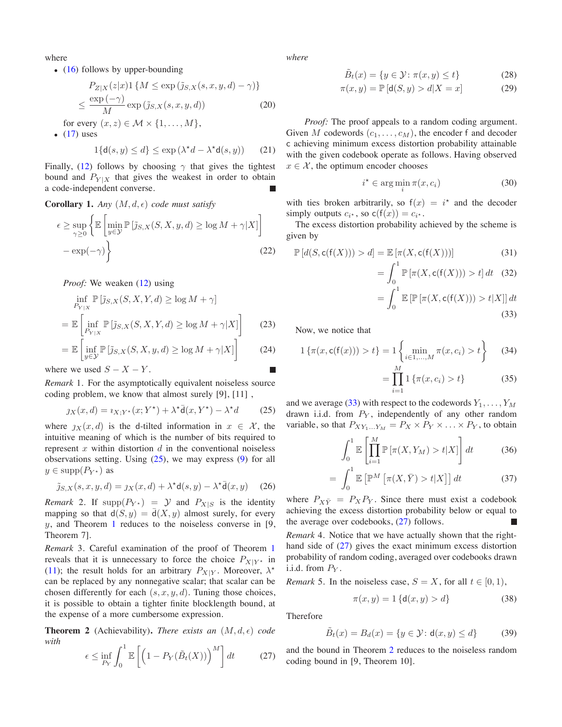where

• [\(16\)](#page-1-3) follows by upper-bounding

$$
P_{Z|X}(z|x)1\{M \le \exp\left(\tilde{j}_{S,X}(s,x,y,d) - \gamma\right)\}
$$

$$
\le \frac{\exp\left(-\gamma\right)}{M}\exp\left(\tilde{j}_{S,X}(s,x,y,d)\right) \tag{20}
$$

for every  $(x, z) \in \mathcal{M} \times \{1, \ldots, M\},\$ 

 $\bullet$  [\(17\)](#page-1-4) uses

$$
1\{\mathsf{d}(s,y)\leq d\}\leq \exp\left(\lambda^{\star}d-\lambda^{\star}\mathsf{d}(s,y)\right)\qquad(21)
$$

Finally, [\(12\)](#page-1-5) follows by choosing  $\gamma$  that gives the tightest bound and  $P_{Y|X}$  that gives the weakest in order to obtain a code-independent converse.

**Corollary 1.** *Any*  $(M, d, \epsilon)$  *code must satisfy* 

$$
\epsilon \ge \sup_{\gamma \ge 0} \left\{ \mathbb{E} \left[ \min_{y \in \mathcal{Y}} \mathbb{P} \left[ \tilde{\jmath}_{S,X}(S,X,y,d) \ge \log M + \gamma |X| \right] - \exp(-\gamma) \right\} \right\}
$$
(22)

*Proof:* We weaken [\(12\)](#page-1-5) using

$$
\inf_{P_{Y|X}} \mathbb{P} \left[ \tilde{\jmath}_{S,X}(S,X,Y,d) \ge \log M + \gamma \right]
$$
\n
$$
= \mathbb{E} \left[ \inf_{P_{Y|X}} \mathbb{P} \left[ \tilde{\jmath}_{S,X}(S,X,Y,d) \ge \log M + \gamma |X| \right] \right] \tag{23}
$$

$$
= \mathbb{E}\left[\inf_{y \in \mathcal{Y}} \mathbb{P}\left[\tilde{\jmath}_{S,X}(S,X,y,d) \ge \log M + \gamma |X|\right] \right] \tag{24}
$$

where we used  $S - X - Y$ .

*Remark* 1*.* For the asymptotically equivalent noiseless source coding problem, we know that almost surely [9], [11] ,

<span id="page-2-0"></span>
$$
\jmath_X(x,d) = \iota_{X;Y^*}(x;Y^*) + \lambda^* \bar{\mathsf{d}}(x,Y^*) - \lambda^* d \tag{25}
$$

where  $j_X(x, d)$  is the d-tilted information in  $x \in \mathcal{X}$ , the intuitive meaning of which is the number of bits required to represent  $x$  within distortion  $d$  in the conventional noiseless observations setting. Using  $(25)$ , we may express  $(9)$  for all  $y \in \text{supp}(P_{Y^*})$  as

<span id="page-2-7"></span>
$$
\tilde{\jmath}_{S,X}(s,x,y,d) = \jmath_X(x,d) + \lambda^* \mathsf{d}(s,y) - \lambda^* \bar{\mathsf{d}}(x,y) \tag{26}
$$

*Remark* 2. If  $\text{supp}(P_{Y^*}) = \mathcal{Y}$  and  $P_{X|S}$  is the identity mapping so that  $d(S, y) = d(X, y)$  almost surely, for every  $y$ , and Theorem [1](#page-1-5) reduces to the noiseless converse in [9, Theorem 7].

<span id="page-2-6"></span>*Remark* 3*.* Careful examination of the proof of Theorem [1](#page-1-5) reveals that it is unnecessary to force the choice  $P_{X|Y^*}$  in [\(11\)](#page-1-7); the result holds for an arbitrary  $P_{X|Y}$ . Moreover,  $\lambda^*$ can be replaced by any nonnegative scalar; that scalar can be chosen differently for each  $(s, x, y, d)$ . Tuning those choices, it is possible to obtain a tighter finite blocklength bound, at the expense of a more cumbersome expression.

**Theorem 2** (Achievability). *There exists an*  $(M, d, \epsilon)$  *code with*

<span id="page-2-2"></span>
$$
\epsilon \le \inf_{P_Y} \int_0^1 \mathbb{E}\left[ \left( 1 - P_Y(\tilde{B}_t(X)) \right)^M \right] dt \tag{27}
$$

*where*

<span id="page-2-3"></span>
$$
\tilde{B}_t(x) = \{ y \in \mathcal{Y} \colon \pi(x, y) \le t \}
$$
\n(28)

$$
\pi(x, y) = \mathbb{P}\left[\mathsf{d}(S, y) > d | X = x\right] \tag{29}
$$

*Proof:* The proof appeals to a random coding argument. Given M codewords  $(c_1, \ldots, c_M)$ , the encoder f and decoder c achieving minimum excess distortion probability attainable with the given codebook operate as follows. Having observed  $x \in \mathcal{X}$ , the optimum encoder chooses

$$
i^* \in \arg\min_i \pi(x, c_i)
$$
 (30)

with ties broken arbitrarily, so  $f(x) = i^*$  and the decoder simply outputs  $c_{i^*}$ , so  $c(f(x)) = c_{i^*}$ .

The excess distortion probability achieved by the scheme is given by

<span id="page-2-5"></span>
$$
\mathbb{P}\left[d(S,\mathsf{c}(f(X))) > d\right] = \mathbb{E}\left[\pi(X,\mathsf{c}(f(X))\right)]\tag{31}
$$

$$
= \int_0^1 \mathbb{P}\left[\pi(X, \mathsf{c}(\mathsf{f}(X))) > t\right] dt \quad (32)
$$

<span id="page-2-1"></span>
$$
= \int_0^{\infty} \mathbb{E}\left[\mathbb{P}\left[\pi(X, \mathsf{c}(f(X))) > t | X\right]\right] dt
$$
\n(33)

Now, we notice that

$$
1\left\{\pi(x, c(f(x))) > t\right\} = 1\left\{\min_{i \in 1, ..., M} \pi(x, c_i) > t\right\} \tag{34}
$$

<span id="page-2-4"></span>
$$
= \prod_{i=1}^{n} 1 \left\{ \pi(x, c_i) > t \right\} \tag{35}
$$

and we average [\(33\)](#page-2-1) with respect to the codewords  $Y_1, \ldots, Y_M$ drawn i.i.d. from  $P<sub>Y</sub>$ , independently of any other random variable, so that  $P_{XY_1...Y_M} = P_X \times P_Y \times ... \times P_Y$ , to obtain

$$
\int_0^1 \mathbb{E}\left[\prod_{i=1}^M \mathbb{P}\left[\pi(X, Y_M) > t | X\right]\right] dt \tag{36}
$$

$$
= \int_0^1 \mathbb{E}\left[\mathbb{P}^M\left[\pi(X,\bar{Y}) > t | X\right]\right] dt \tag{37}
$$

where  $P_{X\bar{Y}} = P_X P_Y$ . Since there must exist a codebook achieving the excess distortion probability below or equal to the average over codebooks,  $(27)$  follows.

*Remark* 4*.* Notice that we have actually shown that the righthand side of [\(27\)](#page-2-2) gives the exact minimum excess distortion probability of random coding, averaged over codebooks drawn i.i.d. from  $P_V$ .

*Remark* 5. In the noiseless case,  $S = X$ , for all  $t \in [0, 1)$ ,

$$
\pi(x, y) = 1 \{ \mathsf{d}(x, y) > d \}
$$
 (38)

Therefore

$$
\tilde{B}_t(x) = B_d(x) = \{ y \in \mathcal{Y} \colon \mathsf{d}(x, y) \le d \}
$$
 (39)

and the bound in Theorem [2](#page-2-3) reduces to the noiseless random coding bound in [9, Theorem 10].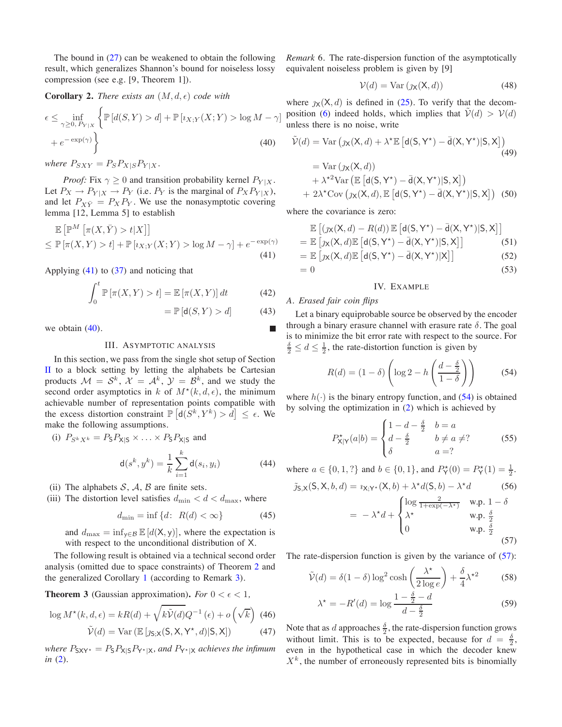The bound in [\(27\)](#page-2-2) can be weakened to obtain the following result, which generalizes Shannon's bound for noiseless lossy compression (see e.g. [9, Theorem 1]).

**Corollary 2.** *There exists an*  $(M, d, \epsilon)$  *code with* 

$$
\epsilon \leq \inf_{\gamma \geq 0, P_{Y|X}} \left\{ \mathbb{P}\left[d(S, Y) > d\right] + \mathbb{P}\left[\imath_{X;Y}(X; Y) > \log M - \gamma\right] + e^{-\exp(\gamma)} \right\}
$$
\n(40)

*where*  $P_{SXY} = P_S P_{X|S} P_{Y|X}$ .

*Proof:* Fix  $\gamma \geq 0$  and transition probability kernel  $P_{Y|X}$ . Let  $P_X \to P_{Y|X} \to P_Y$  (i.e.  $P_Y$  is the marginal of  $P_X P_{Y|X}$ ), and let  $P_{X\bar{Y}} = P_X P_Y$ . We use the nonasymptotic covering lemma [12, Lemma 5] to establish

$$
\mathbb{E}\left[\mathbb{P}^M\left[\pi(X,\bar{Y}) > t | X\right]\right]
$$
  
\n
$$
\leq \mathbb{P}\left[\pi(X,Y) > t\right] + \mathbb{P}\left[\iota_{X;Y}(X;Y) > \log M - \gamma\right] + e^{-\exp(\gamma)}
$$
\n(41)

Applying  $(41)$  to  $(37)$  and noticing that

$$
\int_0^t \mathbb{P}\left[\pi(X, Y) > t\right] = \mathbb{E}\left[\pi(X, Y)\right] dt \tag{42}
$$

$$
= \mathbb{P}\left[d(S, Y) > d\right] \tag{43}
$$

<span id="page-3-0"></span>we obtain  $(40)$ .

## III. ASYMPTOTIC ANALYSIS

In this section, we pass from the single shot setup of Section [II](#page-1-2) to a block setting by letting the alphabets be Cartesian products  $\mathcal{M} = \mathcal{S}^k$ ,  $\mathcal{X} = \mathcal{A}^k$ ,  $\mathcal{Y} = \mathcal{B}^k$ , and we study the second order asymptotics in k of  $M^*(k, d, \epsilon)$ , the minimum achievable number of representation points compatible with the excess distortion constraint  $\mathbb{P}\left[d(S^k, Y^k) > d\right] \leq \epsilon$ . We make the following assumptions.

(i) 
$$
P_{S^k X^k} = P_{S} P_{X|S} \times ... \times P_{S} P_{X|S}
$$
 and  

$$
d(s^k, y^k) = \frac{1}{k} \sum_{i=1}^k d(s_i, y_i)
$$
(44)

(ii) The alphabets  $S$ ,  $A$ ,  $B$  are finite sets.

(iii) The distortion level satisfies  $d_{\min} < d < d_{\max}$ , where

$$
d_{\min} = \inf \{ d \colon R(d) < \infty \} \tag{45}
$$

and  $d_{\text{max}} = \inf_{y \in \mathcal{B}} \mathbb{E}[d(X, y)]$ , where the expectation is with respect to the unconditional distribution of X.

The following result is obtained via a technical second order analysis (omitted due to space constraints) of Theorem [2](#page-2-3) and the generalized Corollary [1](#page-2-5) (according to Remark [3\)](#page-2-6).

**Theorem 3** (Gaussian approximation). For  $0 < \epsilon < 1$ ,

$$
\log M^{\star}(k, d, \epsilon) = kR(d) + \sqrt{k\tilde{\mathcal{V}}(d)}Q^{-1}(\epsilon) + o\left(\sqrt{k}\right)
$$
 (46)

$$
\tilde{\mathcal{V}}(d) = \text{Var}\left(\mathbb{E}\left[\jmath_{\mathsf{S}; \mathsf{X}}(\mathsf{S}, \mathsf{X}, \mathsf{Y}^{\star}, d) | \mathsf{S}, \mathsf{X}\right]\right) \tag{47}
$$

*where*  $P_{\text{SXY*}} = P_{\text{S}}P_{\text{X|S}}P_{\text{Y*|X}}$  *and*  $P_{\text{Y*|X}}$  *achieves the infimum in* [\(2\)](#page-0-1)*.*

*Remark* 6*.* The rate-dispersion function of the asymptotically equivalent noiseless problem is given by [9]

$$
\mathcal{V}(d) = \text{Var}\left(\jmath_{\mathbf{X}}(\mathbf{X}, d)\right) \tag{48}
$$

where  $\chi(X, d)$  is defined in [\(25\)](#page-2-0). To verify that the decom-position [\(6\)](#page-1-8) indeed holds, which implies that  $V(d) > V(d)$ unless there is no noise, write

<span id="page-3-3"></span>
$$
\tilde{\mathcal{V}}(d) = \text{Var} \left( \jmath_{\mathsf{X}}(\mathsf{X}, d) + \lambda^{\star} \mathbb{E} \left[ d(\mathsf{S}, \mathsf{Y}^{\star}) - \bar{d}(\mathsf{X}, \mathsf{Y}^{\star}) | \mathsf{S}, \mathsf{X} \right] \right)
$$
\n
$$
= \text{Var} \left( \jmath_{\mathsf{X}}(\mathsf{X}, d) \right)
$$
\n
$$
+ \lambda^{\star 2} \text{Var} \left( \mathbb{E} \left[ d(\mathsf{S}, \mathsf{Y}^{\star}) - \bar{d}(\mathsf{X}, \mathsf{Y}^{\star}) | \mathsf{S}, \mathsf{X} \right] \right)
$$
\n
$$
+ 2\lambda^{\star} \text{Cov} \left( \jmath_{\mathsf{X}}(\mathsf{X}, d) , \mathbb{E} \left[ d(\mathsf{S}, \mathsf{Y}^{\star}) - \bar{d}(\mathsf{X}, \mathsf{Y}^{\star}) | \mathsf{S}, \mathsf{X} \right] \right) \tag{50}
$$

where the covariance is zero:

$$
\mathbb{E}\left[\left(\jmath_{\mathsf{X}}(\mathsf{X},d)-R(d)\right)\mathbb{E}\left[\mathsf{d}(\mathsf{S},\mathsf{Y}^*)-\bar{\mathsf{d}}(\mathsf{X},\mathsf{Y}^*)|\mathsf{S},\mathsf{X}\right]\right] \n= \mathbb{E}\left[\jmath_{\mathsf{X}}(\mathsf{X},d)\mathbb{E}\left[\mathsf{d}(\mathsf{S},\mathsf{Y}^*)-\bar{\mathsf{d}}(\mathsf{X},\mathsf{Y}^*)|\mathsf{S},\mathsf{X}\right]\right]
$$
\n(51)

<span id="page-3-2"></span>
$$
= \mathbb{E}\left[\jmath_{X}(X,d)\mathbb{E}\left[d(S,Y^*) - \bar{d}(X,Y^*)|X\right]\right] \tag{52}
$$

<span id="page-3-1"></span>
$$
= 0 \tag{53}
$$

## IV. EXAMPLE

## *A. Erased fair coin flips*

Let a binary equiprobable source be observed by the encoder through a binary erasure channel with erasure rate  $\delta$ . The goal is to minimize the bit error rate with respect to the source. For  $\frac{\delta}{2} \leq d \leq \frac{1}{2}$ , the rate-distortion function is given by

<span id="page-3-4"></span>
$$
R(d) = (1 - \delta) \left( \log 2 - h \left( \frac{d - \frac{\delta}{2}}{1 - \delta} \right) \right)
$$
 (54)

where  $h(\cdot)$  is the binary entropy function, and [\(54\)](#page-3-4) is obtained by solving the optimization in [\(2\)](#page-0-1) which is achieved by

$$
P_{\mathsf{X}|\mathsf{Y}}^{\star}(a|b) = \begin{cases} 1 - d - \frac{\delta}{2} & b = a \\ d - \frac{\delta}{2} & b \neq a \neq ? \\ \delta & a = ? \end{cases} \tag{55}
$$

where  $a \in \{0, 1, ?\}$  and  $b \in \{0, 1\}$ , and  $P_{\mathsf{Y}}^{\star}(0) = P_{\mathsf{Y}}^{\star}(1) = \frac{1}{2}$ .  $\tilde{\gamma}_S$  x(S, X, b, d) =  $i_{X,Y*}(X, b) + \lambda^* d(S, b) - \lambda^* d$  (56)

<span id="page-3-5"></span>
$$
= -\lambda^* d + \begin{cases} \log \frac{2}{1 + \exp(-\lambda^*)} & \text{w.p. } 1 - \delta \\ \lambda^* & \text{w.p. } \frac{\delta}{2} \\ 0 & \text{w.p. } \frac{\delta}{2} \end{cases}
$$
(57)

The rate-dispersion function is given by the variance of  $(57)$ :

$$
\tilde{\mathcal{V}}(d) = \delta(1 - \delta) \log^2 \cosh\left(\frac{\lambda^*}{2 \log e}\right) + \frac{\delta}{4} \lambda^{*2} \tag{58}
$$

$$
\lambda^* = -R'(d) = \log \frac{1 - \frac{\delta}{2} - d}{d - \frac{\delta}{2}} \tag{59}
$$

<span id="page-3-7"></span><span id="page-3-6"></span>Note that as d approaches  $\frac{\delta}{2}$ , the rate-dispersion function grows without limit. This is to be expected, because for  $d = \frac{\delta}{2}$ , even in the hypothetical case in which the decoder knew  $X<sup>k</sup>$ , the number of erroneously represented bits is binomially